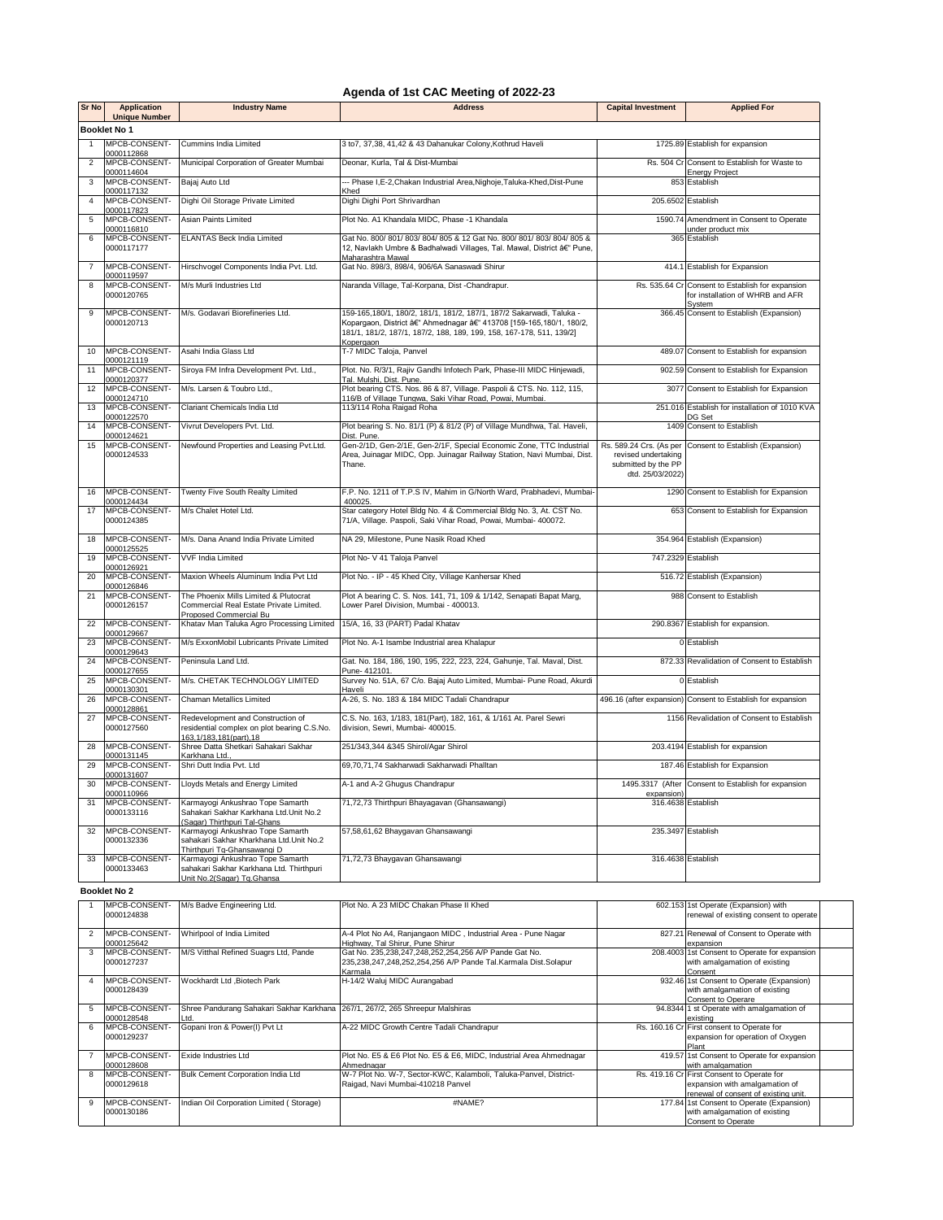## **Agenda of 1st CAC Meeting of 2022-23**

| Sr No          | <b>Application</b><br><b>Unique Number</b> | <b>Industry Name</b>                                                                                           | Address                                                                                                                                                                                                                           | <b>Capital Investment</b>                                      | <b>Applied For</b>                                                                             |  |  |
|----------------|--------------------------------------------|----------------------------------------------------------------------------------------------------------------|-----------------------------------------------------------------------------------------------------------------------------------------------------------------------------------------------------------------------------------|----------------------------------------------------------------|------------------------------------------------------------------------------------------------|--|--|
|                | <b>Booklet No 1</b>                        |                                                                                                                |                                                                                                                                                                                                                                   |                                                                |                                                                                                |  |  |
| 1              | MPCB-CONSENT-<br>0000112868                | Cummins India Limited                                                                                          | 3 to7, 37,38, 41,42 & 43 Dahanukar Colony, Kothrud Haveli                                                                                                                                                                         |                                                                | 1725.89 Establish for expansion                                                                |  |  |
| $\overline{2}$ | MPCB-CONSENT-<br>0000114604                | Municipal Corporation of Greater Mumbai                                                                        | Deonar, Kurla, Tal & Dist-Mumbai                                                                                                                                                                                                  |                                                                | Rs. 504 Cr Consent to Establish for Waste to<br>Energy Project                                 |  |  |
| 3              | MPCB-CONSENT-<br>0000117132                | Bajaj Auto Ltd                                                                                                 | -- Phase I, E-2, Chakan Industrial Area, Nighoje, Taluka-Khed, Dist-Pune<br>Khed                                                                                                                                                  |                                                                | 853 Establish                                                                                  |  |  |
| 4              | MPCB-CONSENT-<br>0000117823                | Dighi Oil Storage Private Limited                                                                              | Dighi Dighi Port Shrivardhan                                                                                                                                                                                                      | 205.6502 Establish                                             |                                                                                                |  |  |
| 5              | MPCB-CONSENT-<br>0000116810                | Asian Paints Limited                                                                                           | Plot No. A1 Khandala MIDC, Phase -1 Khandala                                                                                                                                                                                      |                                                                | 1590.74 Amendment in Consent to Operate<br>under product mix                                   |  |  |
| 6              | MPCB-CONSENT-<br>0000117177                | <b>ELANTAS Beck India Limited</b>                                                                              | Gat No. 800/ 801/ 803/ 804/ 805 & 12 Gat No. 800/ 801/ 803/ 804/ 805 &<br>12, Navlakh Umbre & Badhalwadi Villages, Tal. Mawal, District â€" Pune,<br>Maharashtra Mawal                                                            |                                                                | 365 Establish                                                                                  |  |  |
| $\overline{7}$ | MPCB-CONSENT-<br>0000119597                | Hirschvogel Components India Pvt. Ltd.                                                                         | Gat No. 898/3, 898/4, 906/6A Sanaswadi Shirur                                                                                                                                                                                     |                                                                | 414.1 Establish for Expansion                                                                  |  |  |
| 8              | MPCB-CONSENT-<br>0000120765                | M/s Murli Industries Ltd                                                                                       | Naranda Village, Tal-Korpana, Dist -Chandrapur.                                                                                                                                                                                   |                                                                | Rs. 535.64 Cr Consent to Establish for expansion<br>for installation of WHRB and AFR<br>System |  |  |
| 9              | MPCB-CONSENT-<br>0000120713                | M/s. Godavari Biorefineries Ltd.                                                                               | 159-165,180/1, 180/2, 181/1, 181/2, 187/1, 187/2 Sakarwadi, Taluka -<br>Kopargaon, District â€" Ahmednagar â€" 413708 [159-165,180/1, 180/2,<br>181/1, 181/2, 187/1, 187/2, 188, 189, 199, 158, 167-178, 511, 139/2]<br>Kopergaon |                                                                | 366.45 Consent to Establish (Expansion)                                                        |  |  |
| 10             | MPCB-CONSENT-<br>0000121119                | Asahi India Glass Ltd                                                                                          | T-7 MIDC Taloja, Panvel                                                                                                                                                                                                           |                                                                | 489.07 Consent to Establish for expansion                                                      |  |  |
| 11             | MPCB-CONSENT-<br>0000120377                | Siroya FM Infra Development Pvt. Ltd.,                                                                         | Plot. No. R/3/1, Rajiv Gandhi Infotech Park, Phase-III MIDC Hinjewadi,<br>Tal. Mulshi, Dist. Pune.                                                                                                                                |                                                                | 902.59 Consent to Establish for Expansion                                                      |  |  |
| 12             | MPCB-CONSENT-<br>0000124710                | M/s. Larsen & Toubro Ltd.,                                                                                     | Plot bearing CTS. Nos. 86 & 87, Village. Paspoli & CTS. No. 112, 115,<br>116/B of Village Tungwa, Saki Vihar Road, Powai, Mumbai.                                                                                                 |                                                                | 3077 Consent to Establish for Expansion                                                        |  |  |
| 13             | MPCB-CONSENT-<br>0000122570                | Clariant Chemicals India Ltd                                                                                   | 113/114 Roha Raigad Roha                                                                                                                                                                                                          |                                                                | 251.016 Establish for installation of 1010 KVA<br>DG Set                                       |  |  |
| 14             | MPCB-CONSENT-<br>0000124621                | Vivrut Developers Pvt. Ltd.                                                                                    | Plot bearing S. No. 81/1 (P) & 81/2 (P) of Village Mundhwa, Tal. Haveli,<br>Dist. Pune.                                                                                                                                           |                                                                | 1409 Consent to Establish                                                                      |  |  |
| 15             | MPCB-CONSENT-<br>0000124533                | Newfound Properties and Leasing Pvt.Ltd.                                                                       | Gen-2/1D, Gen-2/1E, Gen-2/1F, Special Economic Zone, TTC Industrial<br>Area, Juinagar MIDC, Opp. Juinagar Railway Station, Navi Mumbai, Dist.<br>Thane.                                                                           | revised undertaking<br>submitted by the PP<br>dtd. 25/03/2022) | Rs. 589.24 Crs. (As per Consent to Establish (Expansion)                                       |  |  |
| 16             | MPCB-CONSENT-<br>0000124434                | Twenty Five South Realty Limited                                                                               | F.P. No. 1211 of T.P.S IV, Mahim in G/North Ward, Prabhadevi, Mumbai-<br>400025.                                                                                                                                                  |                                                                | 1290 Consent to Establish for Expansion                                                        |  |  |
| 17             | MPCB-CONSENT-<br>0000124385                | M/s Chalet Hotel Ltd.                                                                                          | Star category Hotel Bldg No. 4 & Commercial Bldg No. 3, At. CST No.<br>71/A, Village. Paspoli, Saki Vihar Road, Powai, Mumbai- 400072.                                                                                            |                                                                | 653 Consent to Establish for Expansion                                                         |  |  |
| 18             | MPCB-CONSENT-<br>0000125525                | M/s. Dana Anand India Private Limited                                                                          | NA 29, Milestone, Pune Nasik Road Khed                                                                                                                                                                                            |                                                                | 354.964 Establish (Expansion)                                                                  |  |  |
| 19             | MPCB-CONSENT-<br>0000126921                | VVF India Limited                                                                                              | Plot No- V 41 Taloja Panvel                                                                                                                                                                                                       | 747.2329 Establish                                             |                                                                                                |  |  |
| 20             | MPCB-CONSENT-<br>0000126846                | Maxion Wheels Aluminum India Pvt Ltd                                                                           | Plot No. - IP - 45 Khed City, Village Kanhersar Khed                                                                                                                                                                              |                                                                | 516.72 Establish (Expansion)                                                                   |  |  |
| 21             | MPCB-CONSENT-<br>0000126157                | The Phoenix Mills Limited & Plutocrat<br>Commercial Real Estate Private Limited.<br>Proposed Commercial Bu     | Plot A bearing C. S. Nos. 141, 71, 109 & 1/142, Senapati Bapat Marg,<br>Lower Parel Division, Mumbai - 400013.                                                                                                                    |                                                                | 988 Consent to Establish                                                                       |  |  |
| 22             | MPCB-CONSENT-<br>0000129667                | Khatav Man Taluka Agro Processing Limited                                                                      | 15/A, 16, 33 (PART) Padal Khatav                                                                                                                                                                                                  |                                                                | 290.8367 Establish for expansion.                                                              |  |  |
| 23             | MPCB-CONSENT-<br>0000129643                | M/s ExxonMobil Lubricants Private Limited                                                                      | Plot No. A-1 Isambe Industrial area Khalapur                                                                                                                                                                                      |                                                                | 0 Establish                                                                                    |  |  |
| 24             | MPCB-CONSENT-<br>0000127655                | Peninsula Land Ltd.                                                                                            | Gat. No. 184, 186, 190, 195, 222, 223, 224, Gahunje, Tal. Maval, Dist.<br>Pune- 412101                                                                                                                                            |                                                                | 872.33 Revalidation of Consent to Establish                                                    |  |  |
| 25             | MPCB-CONSENT-<br>0000130301                | M/s. CHETAK TECHNOLOGY LIMITED                                                                                 | Survey No. 51A, 67 C/o. Bajaj Auto Limited, Mumbai- Pune Road, Akurdi<br>Haveli                                                                                                                                                   |                                                                | 0 Establish                                                                                    |  |  |
| 26             | MPCB-CONSENT-<br>0000128861                | Chaman Metallics Limited                                                                                       | A-26, S. No. 183 & 184 MIDC Tadali Chandrapur                                                                                                                                                                                     |                                                                | 496.16 (after expansion) Consent to Establish for expansion                                    |  |  |
| 27             | MPCB-CONSENT-<br>0000127560                | Redevelopment and Construction of<br>residential complex on plot bearing C.S.No.<br>163, 1/183, 181 (part), 18 | C.S. No. 163, 1/183, 181(Part), 182, 161, & 1/161 At. Parel Sewri<br>division, Sewri, Mumbai- 400015.                                                                                                                             |                                                                | 1156 Revalidation of Consent to Establish                                                      |  |  |
| 28             | MPCB-CONSENT-<br>0000131145                | Shree Datta Shetkari Sahakari Sakhar<br>Karkhana Ltd.                                                          | 251/343,344 &345 Shirol/Agar Shirol                                                                                                                                                                                               |                                                                | 203.4194 Establish for expansion                                                               |  |  |
| 29             | MPCB-CONSENT-<br>0000131607                | Shri Dutt India Pvt. Ltd                                                                                       | 69,70,71,74 Sakharwadi Sakharwadi Phalltan                                                                                                                                                                                        |                                                                | 187.46 Establish for Expansion                                                                 |  |  |
| 30             | MPCB-CONSENT-<br>0000110966                | Lloyds Metals and Energy Limited                                                                               | A-1 and A-2 Ghugus Chandrapur                                                                                                                                                                                                     | expansion)                                                     | 1495.3317 (After Consent to Establish for expansion                                            |  |  |
| 31             | MPCB-CONSENT-<br>0000133116                | Karmayogi Ankushrao Tope Samarth<br>Sahakari Sakhar Karkhana Ltd.Unit No.2<br>Sagar) Thirthpuri Tal-Ghans      | 71,72,73 Thirthpuri Bhayagavan (Ghansawangi)                                                                                                                                                                                      | 316.4638 Establish                                             |                                                                                                |  |  |
| 32             | MPCB-CONSENT-<br>0000132336                | Karmayogi Ankushrao Tope Samarth<br>sahakari Sakhar Kharkhana Ltd.Unit No.2<br>Thirthpuri To-Ghansawangi D     | 57,58,61,62 Bhaygavan Ghansawangi                                                                                                                                                                                                 |                                                                | 235.3497 Establish                                                                             |  |  |
| 33             | MPCB-CONSENT-<br>0000133463                | Karmayogi Ankushrao Tope Samarth<br>sahakari Sakhar Karkhana Ltd. Thirthpuri<br>Unit No.2(Sagar) Tg.Ghansa     | 71,72,73 Bhaygavan Ghansawangi                                                                                                                                                                                                    | 316.4638 Establish                                             |                                                                                                |  |  |
|                | <b>Booklet No 2</b>                        |                                                                                                                |                                                                                                                                                                                                                                   |                                                                |                                                                                                |  |  |
| $\overline{1}$ | MPCB-CONSENT-<br>0000124838                | M/s Badve Engineering Ltd.                                                                                     | Plot No. A 23 MIDC Chakan Phase II Khed                                                                                                                                                                                           |                                                                | 602.153 1st Operate (Expansion) with<br>renewal of existing consent to operate                 |  |  |
| $\overline{2}$ | MPCB-CONSENT-                              | Whirlpool of India Limited                                                                                     | A-4 Plot No A4, Raniangaon MIDC, Industrial Area - Pune Nagar                                                                                                                                                                     |                                                                | 827.21 Renewal of Consent to Operate with                                                      |  |  |

|   | MPCB-CONSENT-<br>0000124838 | M/s Badve Engineering Ltd.                                                    | Plot No. A 23 MIDC Chakan Phase II Khed                             | 602.153 1st Operate (Expansion) with<br>renewal of existing consent to operate |  |
|---|-----------------------------|-------------------------------------------------------------------------------|---------------------------------------------------------------------|--------------------------------------------------------------------------------|--|
|   |                             |                                                                               |                                                                     |                                                                                |  |
|   | MPCB-CONSENT-               | Whirlpool of India Limited                                                    | A-4 Plot No A4, Ranjangaon MIDC, Industrial Area - Pune Nagar       | 827.21 Renewal of Consent to Operate with                                      |  |
|   | 0000125642                  |                                                                               | Highway, Tal Shirur, Pune Shirur                                    | expansion                                                                      |  |
|   | MPCB-CONSENT-               | M/S Vitthal Refined Suagrs Ltd, Pande                                         | Gat No. 235,238,247,248,252,254,256 A/P Pande Gat No.               | 208.4003 1st Consent to Operate for expansion                                  |  |
|   | 0000127237                  |                                                                               | 235,238,247,248,252,254,256 A/P Pande Tal.Karmala Dist.Solapur      | with amalgamation of existing                                                  |  |
|   |                             |                                                                               | Karmala                                                             | Consent                                                                        |  |
|   | MPCB-CONSENT-               | Wockhardt Ltd .Biotech Park                                                   | H-14/2 Waluj MIDC Aurangabad                                        | 932.46 1st Consent to Operate (Expansion)                                      |  |
|   | 0000128439                  |                                                                               |                                                                     | with amalgamation of existing                                                  |  |
|   |                             |                                                                               |                                                                     | Consent to Operare                                                             |  |
| 5 | MPCB-CONSENT-               | Shree Pandurang Sahakari Sakhar Karkhana 267/1, 267/2, 265 Shreepur Malshiras |                                                                     | 94.8344 1 st Operate with amalgamation of                                      |  |
|   | 0000128548                  | Ltd.                                                                          |                                                                     | existing                                                                       |  |
| 6 | MPCB-CONSENT-               | Gopani Iron & Power(I) Pvt Lt                                                 | A-22 MIDC Growth Centre Tadali Chandrapur                           | Rs. 160.16 Cr First consent to Operate for                                     |  |
|   | 0000129237                  |                                                                               |                                                                     | expansion for operation of Oxygen                                              |  |
|   |                             |                                                                               |                                                                     | Plant                                                                          |  |
|   | MPCB-CONSENT-               | Exide Industries Ltd                                                          | Plot No. E5 & E6 Plot No. E5 & E6, MIDC, Industrial Area Ahmednagar | 419.57 1st Consent to Operate for expansion                                    |  |
|   | 0000128608                  |                                                                               | Ahmednagar                                                          | with amalgamation                                                              |  |
| R | MPCB-CONSENT-               | Bulk Cement Corporation India Ltd                                             | W-7 Plot No. W-7, Sector-KWC, Kalamboli, Taluka-Panvel, District-   | Rs. 419.16 Cr First Consent to Operate for                                     |  |
|   | 0000129618                  |                                                                               | Raigad, Navi Mumbai-410218 Panvel                                   | expansion with amalgamation of                                                 |  |
|   |                             |                                                                               |                                                                     | renewal of consent of existing unit.                                           |  |
|   | MPCB-CONSENT-               | Indian Oil Corporation Limited (Storage)                                      | #NAME?                                                              | 177.84 1st Consent to Operate (Expansion)                                      |  |
|   | 0000130186                  |                                                                               |                                                                     | with amalgamation of existing                                                  |  |
|   |                             |                                                                               |                                                                     | Consent to Operate                                                             |  |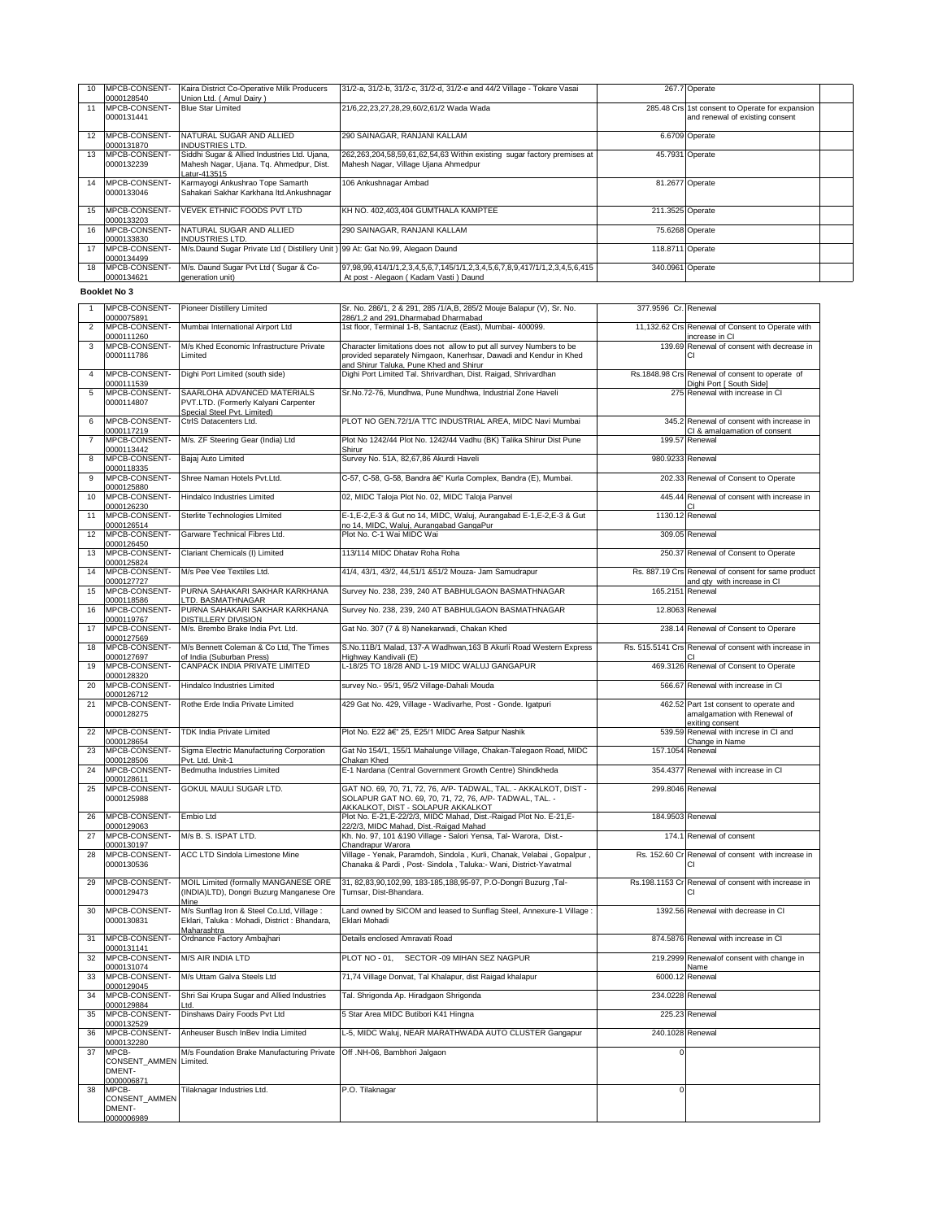| 10 | MPCB-CONSENT-         | Kaira District Co-Operative Milk Producers                                    | 31/2-a, 31/2-b, 31/2-c, 31/2-d, 31/2-e and 44/2 Village - Tokare Vasai     |                  | 267.7 Operate                                   |  |
|----|-----------------------|-------------------------------------------------------------------------------|----------------------------------------------------------------------------|------------------|-------------------------------------------------|--|
|    | 0000128540            | Union Ltd. (Amul Dairy)                                                       |                                                                            |                  |                                                 |  |
|    | <b>MPCB-CONSENT-</b>  | <b>Blue Star Limited</b>                                                      | 21/6,22,23,27,28,29,60/2,61/2 Wada Wada                                    |                  | 285.48 Crs 1st consent to Operate for expansion |  |
|    | 0000131441            |                                                                               |                                                                            |                  | and renewal of existing consent                 |  |
|    |                       |                                                                               |                                                                            |                  |                                                 |  |
| 12 | MPCB-CONSENT-         | NATURAL SUGAR AND ALLIED                                                      | 290 SAINAGAR, RANJANI KALLAM                                               |                  | 6.6709 Operate                                  |  |
|    | 0000131870            | <b>INDUSTRIES LTD.</b>                                                        |                                                                            |                  |                                                 |  |
|    | MPCB-CONSENT-         | Siddhi Sugar & Allied Industries Ltd. Ujana,                                  | 262,263,204,58,59,61,62,54,63 Within existing sugar factory premises at    |                  | 45.7931 Operate                                 |  |
|    | 0000132239            | Mahesh Nagar, Ujana. Tq. Ahmedpur, Dist.                                      | Mahesh Nagar, Village Ujana Ahmedpur                                       |                  |                                                 |  |
|    |                       | Latur-413515                                                                  |                                                                            |                  |                                                 |  |
| 14 | MPCB-CONSENT-         | Karmayogi Ankushrao Tope Samarth                                              | 106 Ankushnagar Ambad                                                      |                  | 81.2677 Operate                                 |  |
|    | 0000133046            | Sahakari Sakhar Karkhana Itd.Ankushnagar                                      |                                                                            |                  |                                                 |  |
|    |                       |                                                                               |                                                                            |                  |                                                 |  |
| 15 | MPCB-CONSENT-         | VEVEK ETHNIC FOODS PVT LTD                                                    | KH NO. 402.403.404 GUMTHALA KAMPTEE                                        | 211.3525 Operate |                                                 |  |
|    | 0000133203            |                                                                               |                                                                            |                  |                                                 |  |
| 16 | <b>IMPCB-CONSENT-</b> | NATURAL SUGAR AND ALLIED                                                      | 290 SAINAGAR, RANJANI KALLAM                                               |                  | 75.6268 Operate                                 |  |
|    | 0000133830            | <b>INDUSTRIES LTD.</b>                                                        |                                                                            |                  |                                                 |  |
| 17 | <b>IMPCB-CONSENT-</b> | M/s.Daund Sugar Private Ltd (Distillery Unit) 99 At: Gat No.99, Alegaon Daund |                                                                            | 118.8711 Operate |                                                 |  |
|    | 0000134499            |                                                                               |                                                                            |                  |                                                 |  |
| 18 | MPCB-CONSENT-         | M/s. Daund Sugar Pvt Ltd (Sugar & Co-                                         | 97,98,99,414/1/1,2,3,4,5,6,7,145/1/1,2,3,4,5,6,7,8,9,417/1/1,2,3,4,5,6,415 | 340.0961 Operate |                                                 |  |
|    | 0000134621            | generation unit)                                                              | At post - Alegaon (Kadam Vasti) Daund                                      |                  |                                                 |  |

## **Booklet No 3**

| 1              | MPCB-CONSENT-                                 | <b>Pioneer Distillery Limited</b>                                                                          | Sr. No. 286/1, 2 & 291, 285 /1/A,B, 285/2 Mouje Balapur (V), Sr. No.                                                                      | 377.9596 Cr. Renewal |                                                                                   |
|----------------|-----------------------------------------------|------------------------------------------------------------------------------------------------------------|-------------------------------------------------------------------------------------------------------------------------------------------|----------------------|-----------------------------------------------------------------------------------|
| $\overline{2}$ | 0000075891<br>MPCB-CONSENT-                   | Mumbai International Airport Ltd                                                                           | 286/1,2 and 291, Dharmabad Dharmabad<br>1st floor, Terminal 1-B, Santacruz (East), Mumbai- 400099.                                        |                      | 11,132.62 Crs Renewal of Consent to Operate with                                  |
| 3              | 0000111260<br>MPCB-CONSENT-<br>0000111786     | M/s Khed Economic Infrastructure Private<br>Limited                                                        | Character limitations does not allow to put all survey Numbers to be<br>provided separately Nimgaon, Kanerhsar, Dawadi and Kendur in Khed | 139.69               | increase in CI<br>Renewal of consent with decrease in<br>CI                       |
| $\overline{4}$ | MPCB-CONSENT-                                 | Dighi Port Limited (south side)                                                                            | and Shirur Taluka, Pune Khed and Shirur<br>Dighi Port Limited Tal. Shrivardhan, Dist. Raigad, Shrivardhan                                 |                      | Rs.1848.98 Crs Renewal of consent to operate of                                   |
| 5              | 0000111539<br>MPCB-CONSENT-<br>0000114807     | SAARLOHA ADVANCED MATERIALS<br>PVT.LTD. (Formerly Kalyani Carpenter                                        | Sr.No.72-76, Mundhwa, Pune Mundhwa, Industrial Zone Haveli                                                                                |                      | Dighi Port I South Sidel<br>275 Renewal with increase in CI                       |
| 6              | MPCB-CONSENT-                                 | Special Steel Pvt. Limited)<br>CtrlS Datacenters Ltd.                                                      | PLOT NO GEN.72/1/A TTC INDUSTRIAL AREA, MIDC Navi Mumbai                                                                                  | 345.2                | Renewal of consent with increase in                                               |
| $\overline{7}$ | 0000117219<br>MPCB-CONSENT-                   | M/s. ZF Steering Gear (India) Ltd                                                                          | Plot No 1242/44 Plot No. 1242/44 Vadhu (BK) Talika Shirur Dist Pune                                                                       |                      | CI & amalgamation of consent<br>199.57 Renewal                                    |
| 8              | 0000113442<br>MPCB-CONSENT-                   | Baiai Auto Limited                                                                                         | Shirur<br>Survey No. 51A, 82,67,86 Akurdi Haveli                                                                                          |                      | 980.9233 Renewal                                                                  |
| 9              | 0000118335<br>MPCB-CONSENT-                   | Shree Naman Hotels Pvt.Ltd.                                                                                | C-57, C-58, G-58, Bandra â€" Kurla Complex, Bandra (E), Mumbai.                                                                           |                      | 202.33 Renewal of Consent to Operate                                              |
| 10             | 0000125880<br>MPCB-CONSENT-                   | Hindalco Industries Limited                                                                                | 02, MIDC Taloja Plot No. 02, MIDC Taloja Panvel                                                                                           |                      | 445.44 Renewal of consent with increase in                                        |
|                | 0000126230<br>MPCB-CONSENT-                   |                                                                                                            |                                                                                                                                           |                      | СI                                                                                |
| 11             | 0000126514                                    | Sterlite Technologies LImited                                                                              | E-1, E-2, E-3 & Gut no 14, MIDC, Waluj, Aurangabad E-1, E-2, E-3 & Gut<br>no 14, MIDC, Waluj, Aurangabad GangaPur                         |                      | 1130.12 Renewal                                                                   |
| 12             | MPCB-CONSENT-<br>0000126450                   | Garware Technical Fibres Ltd.                                                                              | Plot No. C-1 Wai MIDC Wai                                                                                                                 |                      | 309.05 Renewal                                                                    |
| 13             | MPCB-CONSENT-<br>0000125824                   | Clariant Chemicals (I) Limited                                                                             | 113/114 MIDC Dhatav Roha Roha                                                                                                             |                      | 250.37 Renewal of Consent to Operate                                              |
| 14             | MPCB-CONSENT-<br>0000127727                   | M/s Pee Vee Textiles Ltd.                                                                                  | 41/4, 43/1, 43/2, 44,51/1 &51/2 Mouza- Jam Samudrapur                                                                                     |                      | Rs. 887.19 Crs Renewal of consent for same product<br>and qty with increase in CI |
| 15             | MPCB-CONSENT-<br>0000118586                   | PURNA SAHAKARI SAKHAR KARKHANA<br>LTD. BASMATHNAGAR                                                        | Survey No. 238, 239, 240 AT BABHULGAON BASMATHNAGAR                                                                                       | 165.2151             | Renewal                                                                           |
| 16             | MPCB-CONSENT-<br>0000119767                   | PURNA SAHAKARI SAKHAR KARKHANA<br>DISTILLERY DIVISION                                                      | Survey No. 238, 239, 240 AT BABHULGAON BASMATHNAGAR                                                                                       |                      | 12.8063 Renewal                                                                   |
| 17             | MPCB-CONSENT-                                 | M/s. Brembo Brake India Pvt. Ltd.                                                                          | Gat No. 307 (7 & 8) Nanekarwadi, Chakan Khed                                                                                              |                      | 238.14 Renewal of Consent to Operare                                              |
| 18             | 0000127569<br>MPCB-CONSENT-                   | M/s Bennett Coleman & Co Ltd, The Times                                                                    | S.No.11B/1 Malad, 137-A Wadhwan, 163 B Akurli Road Western Express                                                                        |                      | Rs. 515.5141 Crs Renewal of consent with increase in                              |
| 19             | 0000127697<br>MPCB-CONSENT-                   | of India (Suburban Press)<br>CANPACK INDIA PRIVATE LIMITED                                                 | Highway Kandivali (E)<br>L-18/25 TO 18/28 AND L-19 MIDC WALUJ GANGAPUR                                                                    |                      | 469.3126 Renewal of Consent to Operate                                            |
| 20             | 0000128320<br>MPCB-CONSENT-                   | Hindalco Industries Limited                                                                                | survey No.- 95/1, 95/2 Village-Dahali Mouda                                                                                               | 566.67               | Renewal with increase in CI                                                       |
| 21             | 0000126712<br>MPCB-CONSENT-<br>0000128275     | Rothe Erde India Private Limited                                                                           | 429 Gat No. 429, Village - Wadivarhe, Post - Gonde. Igatpuri                                                                              |                      | 462.52 Part 1st consent to operate and<br>amalgamation with Renewal of            |
| 22             | MPCB-CONSENT-<br>0000128654                   | TDK India Private Limited                                                                                  | Plot No. E22 â€" 25, E25/1 MIDC Area Satpur Nashik                                                                                        |                      | exiting consent<br>539.59 Renewal with increse in CI and<br>Change in Name        |
| 23             | MPCB-CONSENT-<br>0000128506                   | Sigma Electric Manufacturing Corporation<br>Pvt. Ltd. Unit-1                                               | Gat No 154/1, 155/1 Mahalunge Village, Chakan-Talegaon Road, MIDC<br>Chakan Khed                                                          |                      | 157.1054 Renewal                                                                  |
| 24             | MPCB-CONSENT-<br>0000128611                   | Bedmutha Industries Limited                                                                                | E-1 Nardana (Central Government Growth Centre) Shindkheda                                                                                 | 354.4377             | Renewal with increase in CI                                                       |
| 25             | MPCB-CONSENT-<br>0000125988                   | GOKUL MAULI SUGAR LTD.                                                                                     | GAT NO. 69, 70, 71, 72, 76, A/P- TADWAL, TAL. - AKKALKOT, DIST -<br>SOLAPUR GAT NO. 69, 70, 71, 72, 76, A/P- TADWAL, TAL. -               | 299.8046             | Renewal                                                                           |
| 26             | MPCB-CONSENT-                                 | Embio Ltd                                                                                                  | AKKALKOT, DIST - SOLAPUR AKKALKOT<br>Plot No. E-21, E-22/2/3, MIDC Mahad, Dist.-Raigad Plot No. E-21, E-                                  | 184.9503             | Renewal                                                                           |
| 27             | 0000129063<br>MPCB-CONSENT-                   | M/s B. S. ISPAT LTD.                                                                                       | 22/2/3, MIDC Mahad, Dist.-Raigad Mahad<br>Kh. No. 97, 101 & 190 Village - Salori Yensa, Tal- Warora, Dist.-                               |                      | 174.1 Renewal of consent                                                          |
| 28             | 0000130197<br>MPCB-CONSENT-                   | ACC LTD Sindola Limestone Mine                                                                             | Chandrapur Warora<br>Village - Yenak, Paramdoh, Sindola, Kurli, Chanak, Velabai, Gopalpur,                                                | Rs. 152.60 Cr        | Renewal of consent with increase in                                               |
|                | 0000130536                                    |                                                                                                            | Chanaka & Pardi, Post-Sindola, Taluka:- Wani, District-Yavatmal                                                                           |                      | CI                                                                                |
| 29             | MPCB-CONSENT-<br>0000129473                   | MOIL Limited (formally MANGANESE ORE<br>(INDIA)LTD), Dongri Buzurg Manganese Ore<br>Mine                   | 31, 82,83,90,102,99, 183-185,188,95-97, P.O-Dongri Buzurg, Tal-<br>Tumsar, Dist-Bhandara.                                                 |                      | Rs.198.1153 Cr Renewal of consent with increase in<br>CI                          |
| 30             | MPCB-CONSENT-<br>0000130831                   | M/s Sunflag Iron & Steel Co.Ltd, Village :<br>Eklari, Taluka : Mohadi, District : Bhandara,<br>Maharashtra | Land owned by SICOM and leased to Sunflag Steel, Annexure-1 Village:<br>Eklari Mohadi                                                     |                      | 1392.56 Renewal with decrease in CI                                               |
| 31             | MPCB-CONSENT-<br>0000131141                   | Ordnance Factory Ambajhari                                                                                 | Details enclosed Amravati Road                                                                                                            |                      | 874.5876 Renewal with increase in CI                                              |
| 32             | MPCB-CONSENT-<br>0000131074                   | <b>M/S AIR INDIA LTD</b>                                                                                   | PLOT NO - 01, SECTOR -09 MIHAN SEZ NAGPUR                                                                                                 |                      | 219.2999 Renewalof consent with change in<br>Name                                 |
| 33             | MPCB-CONSENT-                                 | M/s Uttam Galva Steels Ltd                                                                                 | 71,74 Village Donvat, Tal Khalapur, dist Raigad khalapur                                                                                  |                      | 6000.12 Renewal                                                                   |
| 34             | 0000129045<br>MPCB-CONSEN1-                   | Shri Sai Krupa Sugar and Allied Industries                                                                 | Tal. Shrigonda Ap. Hiradgaon Shrigonda                                                                                                    |                      | 234.0228 Renewal                                                                  |
| 35             | 0000129884<br>MPCB-CONSENT-                   | Ltd.<br>Dinshaws Dairy Foods Pvt Ltd                                                                       | 5 Star Area MIDC Butibori K41 Hingna                                                                                                      |                      | 225.23 Renewal                                                                    |
| 36             | 0000132529<br>MPCB-CONSENT-                   | Anheuser Busch InBev India Limited                                                                         | L-5, MIDC Waluj, NEAR MARATHWADA AUTO CLUSTER Gangapur                                                                                    |                      | 240.1028 Renewal                                                                  |
| 37             | 0000132280<br>MPCB-<br>CONSENT_AMMEN Limited. | M/s Foundation Brake Manufacturing Private                                                                 | Off .NH-06, Bambhori Jalgaon                                                                                                              | 0                    |                                                                                   |
|                | DMENT-<br>0000006871                          |                                                                                                            |                                                                                                                                           |                      |                                                                                   |
| 38             | MPCB-<br>CONSENT_AMMEN<br>DMENT-              | Tilaknagar Industries Ltd.                                                                                 | P.O. Tilaknagar                                                                                                                           | 0                    |                                                                                   |
|                | 0000006989                                    |                                                                                                            |                                                                                                                                           |                      |                                                                                   |